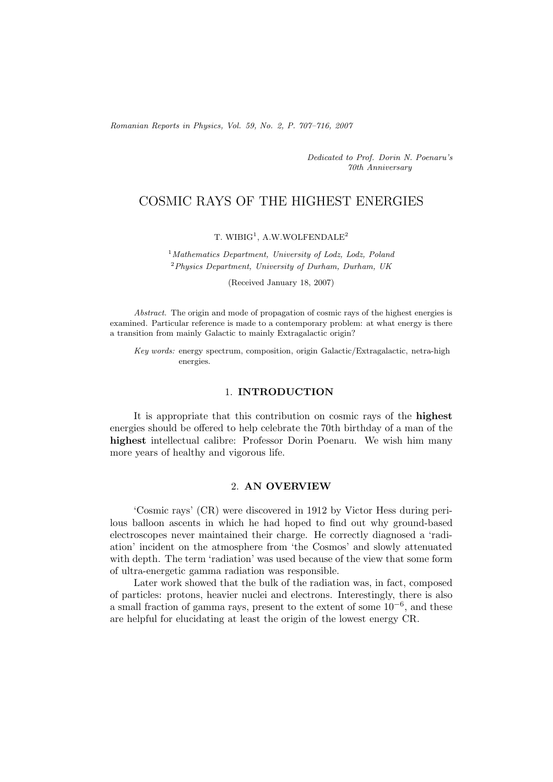*Romanian Reports in Physics, Vol. 59, No. 2, P. 707–716, 2007*

*Dedicated to Prof. Dorin N. Poenaru's 70th Anniversary*

# COSMIC RAYS OF THE HIGHEST ENERGIES

T. WIBIG<sup>1</sup>, A.W.WOLFENDALE<sup>2</sup>

<sup>1</sup>*Mathematics Department, University of Lodz, Lodz, Poland* <sup>2</sup>*Physics Department, University of Durham, Durham, UK*

(Received January 18, 2007)

*Abstract.* The origin and mode of propagation of cosmic rays of the highest energies is examined. Particular reference is made to a contemporary problem: at what energy is there a transition from mainly Galactic to mainly Extragalactic origin?

*Key words:* energy spectrum, composition, origin Galactic/Extragalactic, netra-high energies.

# 1. **INTRODUCTION**

It is appropriate that this contribution on cosmic rays of the **highest** energies should be offered to help celebrate the 70th birthday of a man of the **highest** intellectual calibre: Professor Dorin Poenaru. We wish him many more years of healthy and vigorous life.

## 2. **AN OVERVIEW**

'Cosmic rays' (CR) were discovered in 1912 by Victor Hess during perilous balloon ascents in which he had hoped to find out why ground-based electroscopes never maintained their charge. He correctly diagnosed a 'radiation' incident on the atmosphere from 'the Cosmos' and slowly attenuated with depth. The term 'radiation' was used because of the view that some form of ultra-energetic gamma radiation was responsible.

Later work showed that the bulk of the radiation was, in fact, composed of particles: protons, heavier nuclei and electrons. Interestingly, there is also a small fraction of gamma rays, present to the extent of some 10*−*6, and these are helpful for elucidating at least the origin of the lowest energy CR.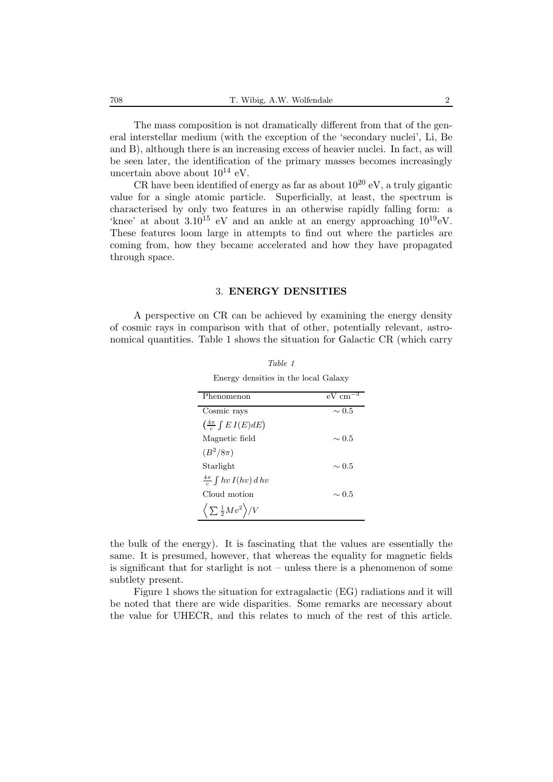The mass composition is not dramatically different from that of the general interstellar medium (with the exception of the 'secondary nuclei', Li, Be and B), although there is an increasing excess of heavier nuclei. In fact, as will be seen later, the identification of the primary masses becomes increasingly uncertain above about 10<sup>14</sup> eV*.*

CR have been identified of energy as far as about  $10^{20}$  eV, a truly gigantic value for a single atomic particle. Superficially, at least, the spectrum is characterised by only two features in an otherwise rapidly falling form: a 'knee' at about  $3.10^{15}$  eV and an ankle at an energy approaching  $10^{19}$  eV. These features loom large in attempts to find out where the particles are coming from, how they became accelerated and how they have propagated through space.

#### 3. **ENERGY DENSITIES**

A perspective on CR can be achieved by examining the energy density of cosmic rays in comparison with that of other, potentially relevant, astronomical quantities. Table 1 shows the situation for Galactic CR (which carry

| Phenomenon                                  | $eV \text{ cm}^{-3}$ |
|---------------------------------------------|----------------------|
| Cosmic rays                                 | $\sim 0.5$           |
| $\left(\frac{4\pi}{c}\int E I(E)dE\right)$  |                      |
| Magnetic field                              | $\sim 0.5$           |
| $(B^2/8\pi)$                                |                      |
| Starlight                                   | $\sim 0.5$           |
| $\frac{4\pi}{c}\int hv I(hv)\,d\,hv$        |                      |
| Cloud motion                                | $\sim 0.5$           |
| $\langle \sum \frac{1}{2} M v^2 \rangle /V$ |                      |

*Table 1* Energy densities in the local Galaxy

the bulk of the energy). It is fascinating that the values are essentially the same. It is presumed, however, that whereas the equality for magnetic fields is significant that for starlight is not – unless there is a phenomenon of some subtlety present.

Figure 1 shows the situation for extragalactic (EG) radiations and it will be noted that there are wide disparities. Some remarks are necessary about the value for UHECR, and this relates to much of the rest of this article.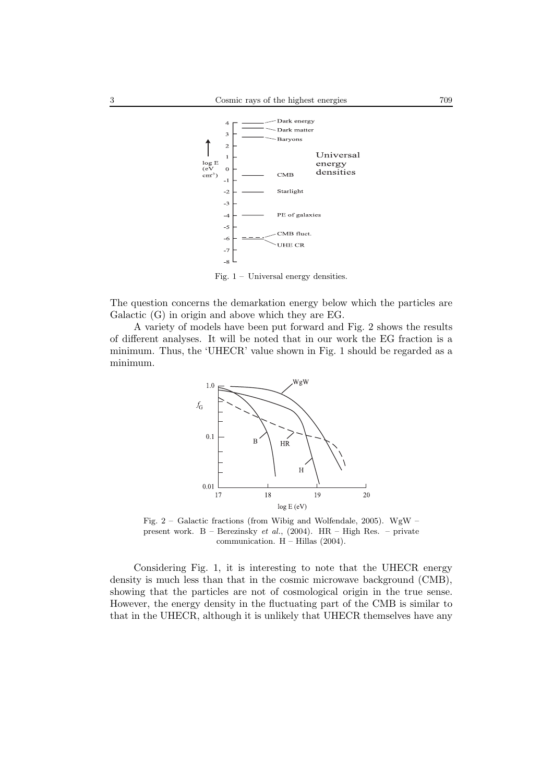

Fig. 1 – Universal energy densities.

The question concerns the demarkation energy below which the particles are Galactic (G) in origin and above which they are EG.

A variety of models have been put forward and Fig. 2 shows the results of different analyses. It will be noted that in our work the EG fraction is a minimum. Thus, the 'UHECR' value shown in Fig. 1 should be regarded as a minimum.



Fig.  $2 -$  Galactic fractions (from Wibig and Wolfendale, 2005). WgW – present work. B – Berezinsky *et al.*, (2004). HR – High Res. – private communication. H – Hillas (2004).

Considering Fig. 1, it is interesting to note that the UHECR energy density is much less than that in the cosmic microwave background (CMB), showing that the particles are not of cosmological origin in the true sense. However, the energy density in the fluctuating part of the CMB is similar to that in the UHECR, although it is unlikely that UHECR themselves have any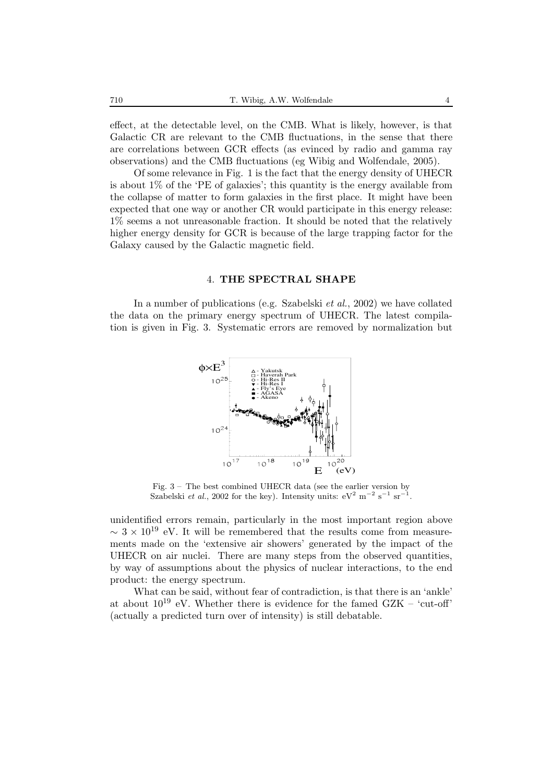effect, at the detectable level, on the CMB. What is likely, however, is that Galactic CR are relevant to the CMB fluctuations, in the sense that there are correlations between GCR effects (as evinced by radio and gamma ray observations) and the CMB fluctuations (eg Wibig and Wolfendale, 2005).

Of some relevance in Fig. 1 is the fact that the energy density of UHECR is about 1% of the 'PE of galaxies'; this quantity is the energy available from the collapse of matter to form galaxies in the first place. It might have been expected that one way or another CR would participate in this energy release: 1% seems a not unreasonable fraction. It should be noted that the relatively higher energy density for GCR is because of the large trapping factor for the Galaxy caused by the Galactic magnetic field.

#### 4. **THE SPECTRAL SHAPE**

In a number of publications (e.g. Szabelski *et al.*, 2002) we have collated the data on the primary energy spectrum of UHECR. The latest compilation is given in Fig. 3. Systematic errors are removed by normalization but



Fig. 3 – The best combined UHECR data (see the earlier version by Szabelski *et al.*, 2002 for the key). Intensity units:  $eV^2$  m<sup>−2</sup> s<sup>−1</sup> sr<sup>−1</sup>.

unidentified errors remain, particularly in the most important region above  $\sim$  3 × 10<sup>19</sup> eV. It will be remembered that the results come from measurements made on the 'extensive air showers' generated by the impact of the UHECR on air nuclei. There are many steps from the observed quantities, by way of assumptions about the physics of nuclear interactions, to the end product: the energy spectrum.

What can be said, without fear of contradiction, is that there is an 'ankle' at about  $10^{19}$  eV. Whether there is evidence for the famed GZK – 'cut-off' (actually a predicted turn over of intensity) is still debatable.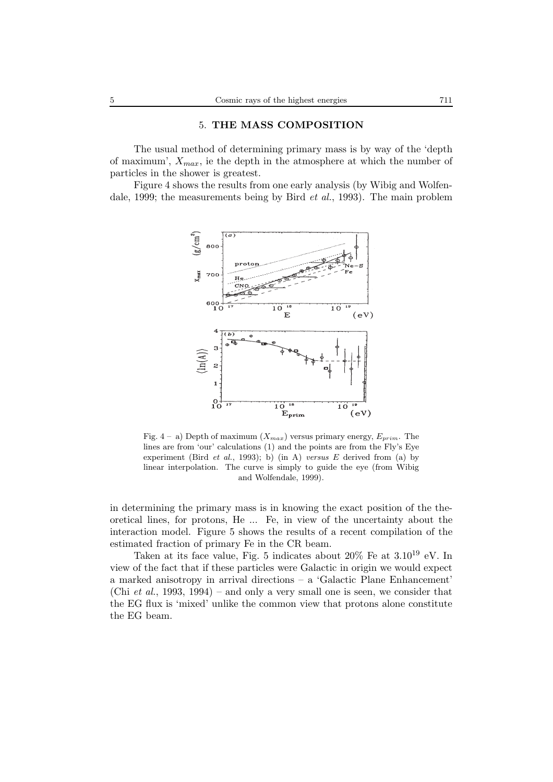## 5. **THE MASS COMPOSITION**

The usual method of determining primary mass is by way of the 'depth of maximum', *Xmax*, ie the depth in the atmosphere at which the number of particles in the shower is greatest.

Figure 4 shows the results from one early analysis (by Wibig and Wolfendale, 1999; the measurements being by Bird *et al.*, 1993). The main problem



Fig. 4 – a) Depth of maximum  $(X_{max})$  versus primary energy,  $E_{prim}$ . The lines are from 'our' calculations (1) and the points are from the Fly's Eye experiment (Bird *et al.*, 1993); b) (in A) *versus* E derived from (a) by linear interpolation. The curve is simply to guide the eye (from Wibig and Wolfendale, 1999).

in determining the primary mass is in knowing the exact position of the theoretical lines, for protons, He ... Fe, in view of the uncertainty about the interaction model. Figure 5 shows the results of a recent compilation of the estimated fraction of primary Fe in the CR beam.

Taken at its face value, Fig. 5 indicates about  $20\%$  Fe at  $3.10^{19}$  eV. In view of the fact that if these particles were Galactic in origin we would expect a marked anisotropy in arrival directions – a 'Galactic Plane Enhancement' (Chi *et al.*, 1993, 1994) – and only a very small one is seen, we consider that the EG flux is 'mixed' unlike the common view that protons alone constitute the EG beam.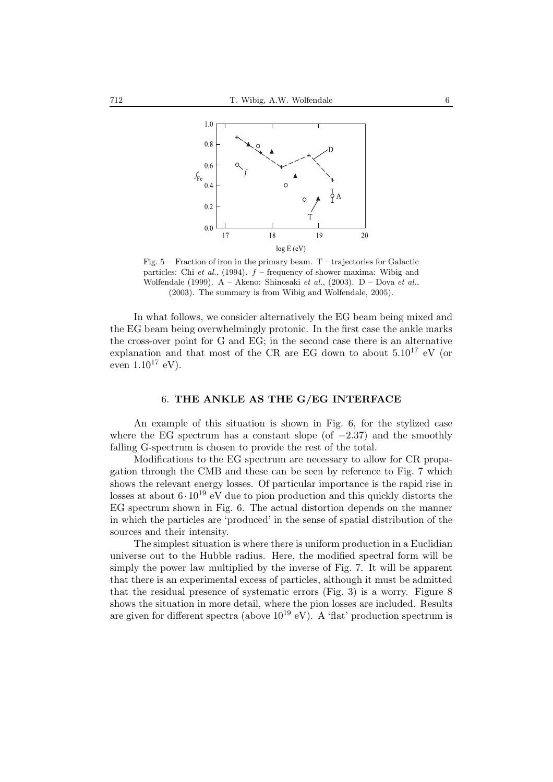

Fig.  $5-$  Fraction of iron in the primary beam. T – trajectories for Galactic particles: Chi *et al.*, (1994). f – frequency of shower maxima: Wibig and Wolfendale (1999). A – Akeno: Shinosaki *et al.*, (2003). D – Dova *et al.*, (2003). The summary is from Wibig and Wolfendale, 2005).

In what follows, we consider alternatively the EG beam being mixed and the EG beam being overwhelmingly protonic. In the first case the ankle marks the cross-over point for G and EG; in the second case there is an alternative explanation and that most of the CR are EG down to about  $5.10^{17}$  eV (or even  $1.10^{17}$  eV).

#### 6. **THE ANKLE AS THE G/EG INTERFACE**

An example of this situation is shown in Fig. 6, for the stylized case where the EG spectrum has a constant slope (of −2*.*37) and the smoothly falling G-spectrum is chosen to provide the rest of the total.

Modifications to the EG spectrum are necessary to allow for CR propagation through the CMB and these can be seen by reference to Fig. 7 which shows the relevant energy losses. Of particular importance is the rapid rise in losses at about  $6 \cdot 10^{19}$  eV due to pion production and this quickly distorts the EG spectrum shown in Fig. 6. The actual distortion depends on the manner in which the particles are 'produced' in the sense of spatial distribution of the sources and their intensity.

The simplest situation is where there is uniform production in a Euclidian universe out to the Hubble radius. Here, the modified spectral form will be simply the power law multiplied by the inverse of Fig. 7. It will be apparent that there is an experimental excess of particles, although it must be admitted that the residual presence of systematic errors (Fig. 3) is a worry. Figure 8 shows the situation in more detail, where the pion losses are included. Results are given for different spectra (above  $10^{19}$  eV). A 'flat' production spectrum is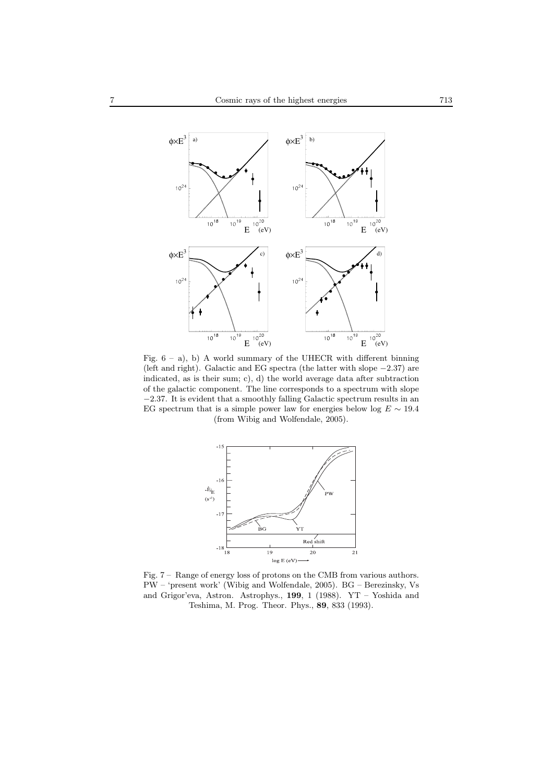

Fig. 6 – a), b) A world summary of the UHECR with different binning (left and right). Galactic and EG spectra (the latter with slope <sup>−</sup>2.37) are indicated, as is their sum; c), d) the world average data after subtraction of the galactic component. The line corresponds to a spectrum with slope <sup>−</sup>2.37. It is evident that a smoothly falling Galactic spectrum results in an EG spectrum that is a simple power law for energies below log  $E \sim 19.4$ (from Wibig and Wolfendale, 2005).



Fig. 7 – Range of energy loss of protons on the CMB from various authors. PW – 'present work' (Wibig and Wolfendale, 2005). BG – Berezinsky, Vs and Grigor'eva, Astron. Astrophys., **199**, 1 (1988). YT – Yoshida and Teshima, M. Prog. Theor. Phys., **89**, 833 (1993).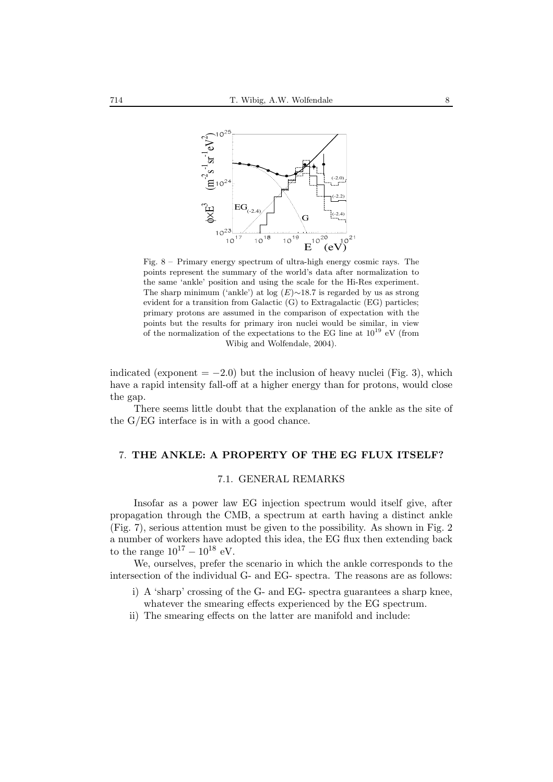

Fig. 8 – Primary energy spectrum of ultra-high energy cosmic rays. The points represent the summary of the world's data after normalization to the same 'ankle' position and using the scale for the Hi-Res experiment. The sharp minimum ('ankle') at log  $(E)$ ~18.7 is regarded by us as strong evident for a transition from Galactic  $(G)$  to Extragalactic  $(EG)$  particles; primary protons are assumed in the comparison of expectation with the points but the results for primary iron nuclei would be similar, in view of the normalization of the expectations to the EG line at  $10^{19}\,$  eV (from Wibig and Wolfendale, 2004).

indicated (exponent  $= -2.0$ ) but the inclusion of heavy nuclei (Fig. 3), which have a rapid intensity fall-off at a higher energy than for protons, would close the gap.

There seems little doubt that the explanation of the ankle as the site of the G/EG interface is in with a good chance.

# 7. **THE ANKLE: A PROPERTY OF THE EG FLUX ITSELF?**

#### 7.1. GENERAL REMARKS

Insofar as a power law EG injection spectrum would itself give, after propagation through the CMB, a spectrum at earth having a distinct ankle (Fig. 7), serious attention must be given to the possibility. As shown in Fig. 2 a number of workers have adopted this idea, the EG flux then extending back to the range  $10^{17} - 10^{18}$  eV.

We, ourselves, prefer the scenario in which the ankle corresponds to the intersection of the individual G- and EG- spectra. The reasons are as follows:

- i) A 'sharp' crossing of the G- and EG- spectra guarantees a sharp knee, whatever the smearing effects experienced by the EG spectrum.
- ii) The smearing effects on the latter are manifold and include: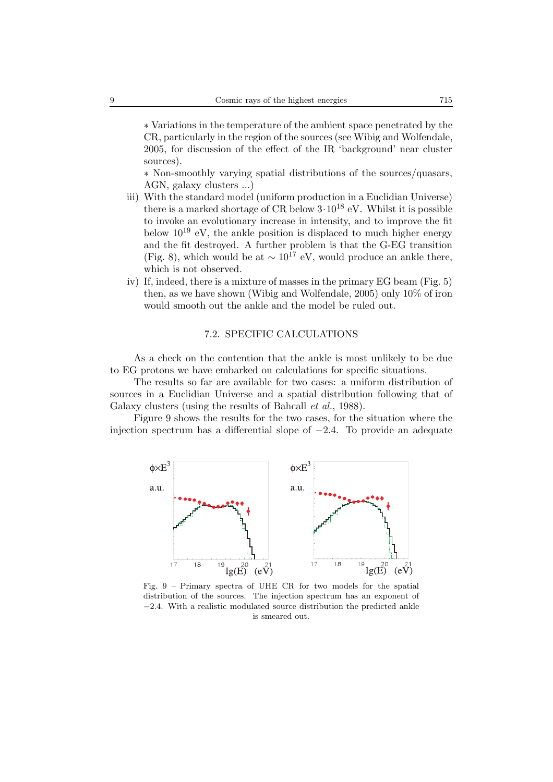∗ Variations in the temperature of the ambient space penetrated by the CR, particularly in the region of the sources (see Wibig and Wolfendale, 2005, for discussion of the effect of the IR 'background' near cluster sources).

∗ Non-smoothly varying spatial distributions of the sources/quasars, AGN, galaxy clusters ...)

- iii) With the standard model (uniform production in a Euclidian Universe) there is a marked shortage of CR below  $3 \cdot 10^{18}$  eV. Whilst it is possible to invoke an evolutionary increase in intensity, and to improve the fit below  $10^{19}$  eV, the ankle position is displaced to much higher energy and the fit destroyed. A further problem is that the G-EG transition (Fig. 8), which would be at  $\sim 10^{17}$  eV, would produce an ankle there, which is not observed.
- iv) If, indeed, there is a mixture of masses in the primary EG beam (Fig. 5) then, as we have shown (Wibig and Wolfendale, 2005) only 10% of iron would smooth out the ankle and the model be ruled out.

## 7.2. SPECIFIC CALCULATIONS

As a check on the contention that the ankle is most unlikely to be due to EG protons we have embarked on calculations for specific situations.

The results so far are available for two cases: a uniform distribution of sources in a Euclidian Universe and a spatial distribution following that of Galaxy clusters (using the results of Bahcall *et al.*, 1988).

Figure 9 shows the results for the two cases, for the situation where the injection spectrum has a differential slope of −2*.*4. To provide an adequate



Fig. 9 – Primary spectra of UHE CR for two models for the spatial distribution of the sources. The injection spectrum has an exponent of <sup>−</sup>2.4. With a realistic modulated source distribution the predicted ankle is smeared out.